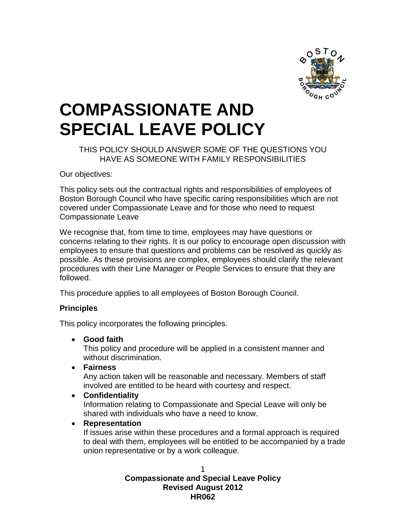

# **COMPASSIONATE AND SPECIAL LEAVE POLICY**

#### THIS POLICY SHOULD ANSWER SOME OF THE QUESTIONS YOU HAVE AS SOMEONE WITH FAMILY RESPONSIBILITIES

Our objectives:

This policy sets out the contractual rights and responsibilities of employees of Boston Borough Council who have specific caring responsibilities which are not covered under Compassionate Leave and for those who need to request Compassionate Leave

We recognise that, from time to time, employees may have questions or concerns relating to their rights. It is our policy to encourage open discussion with employees to ensure that questions and problems can be resolved as quickly as possible. As these provisions are complex, employees should clarify the relevant procedures with their Line Manager or People Services to ensure that they are followed.

This procedure applies to all employees of Boston Borough Council.

#### **Principles**

This policy incorporates the following principles.

#### **Good faith**

This policy and procedure will be applied in a consistent manner and without discrimination.

**Fairness**

Any action taken will be reasonable and necessary. Members of staff involved are entitled to be heard with courtesy and respect.

**Confidentiality**

Information relating to Compassionate and Special Leave will only be shared with individuals who have a need to know.

**Representation**

If issues arise within these procedures and a formal approach is required to deal with them, employees will be entitled to be accompanied by a trade union representative or by a work colleague.

> 1 **Compassionate and Special Leave Policy Revised August 2012 HR062**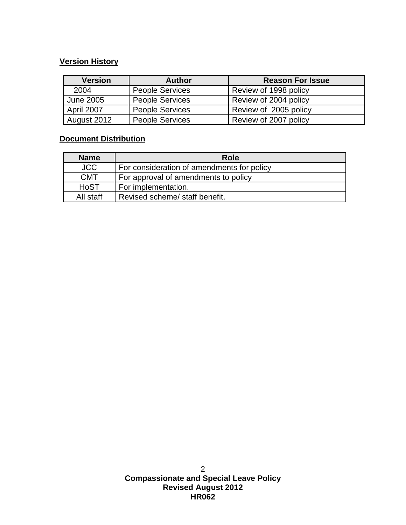## **Version History**

| <b>Version</b>   | <b>Author</b>          | <b>Reason For Issue</b> |
|------------------|------------------------|-------------------------|
| 2004             | <b>People Services</b> | Review of 1998 policy   |
| <b>June 2005</b> | <b>People Services</b> | Review of 2004 policy   |
| April 2007       | <b>People Services</b> | Review of 2005 policy   |
| August 2012      | <b>People Services</b> | Review of 2007 policy   |

### **Document Distribution**

| <b>Name</b> | <b>Role</b>                                |  |  |
|-------------|--------------------------------------------|--|--|
| <b>JCC</b>  | For consideration of amendments for policy |  |  |
| <b>CMT</b>  | For approval of amendments to policy       |  |  |
| <b>HoST</b> | For implementation.                        |  |  |
| All staff   | Revised scheme/ staff benefit.             |  |  |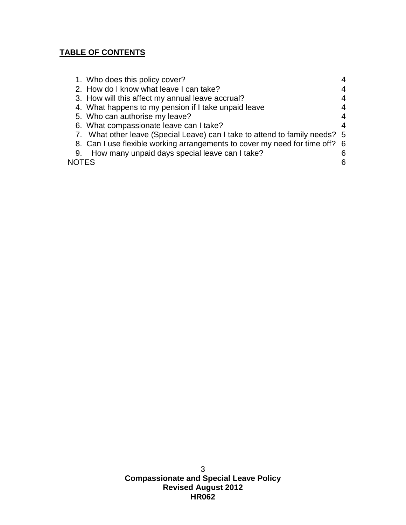## **TABLE OF CONTENTS**

|       | 1. Who does this policy cover?                                              |   |
|-------|-----------------------------------------------------------------------------|---|
|       | 2. How do I know what leave I can take?                                     | 4 |
|       | 3. How will this affect my annual leave accrual?                            | 4 |
|       | 4. What happens to my pension if I take unpaid leave                        | 4 |
|       | 5. Who can authorise my leave?                                              | 4 |
|       | 6. What compassionate leave can I take?                                     | 4 |
|       | 7. What other leave (Special Leave) can I take to attend to family needs? 5 |   |
|       | 8. Can I use flexible working arrangements to cover my need for time off? 6 |   |
| 9.    | How many unpaid days special leave can I take?                              | 6 |
| NOTES |                                                                             | 6 |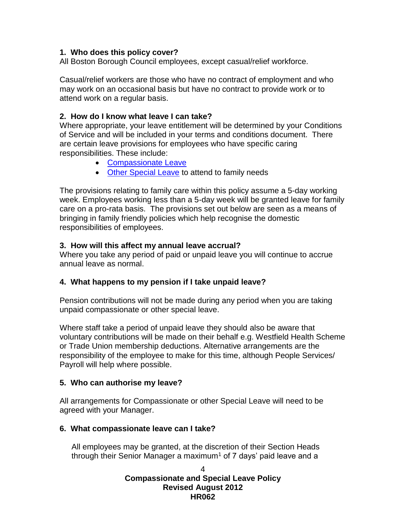#### <span id="page-3-0"></span>**1. Who does this policy cover?**

All Boston Borough Council employees, except casual/relief workforce.

Casual/relief workers are those who have no contract of employment and who may work on an occasional basis but have no contract to provide work or to attend work on a regular basis.

#### <span id="page-3-1"></span>**2. How do I know what leave I can take?**

Where appropriate, your leave entitlement will be determined by your Conditions of Service and will be included in your terms and conditions document. There are certain leave provisions for employees who have specific caring responsibilities. These include:

- Compassionate Leave
- [Other Special Leave](#page-4-0) to attend to family needs

The provisions relating to family care within this policy assume a 5-day working week. Employees working less than a 5-day week will be granted leave for family care on a pro-rata basis. The provisions set out below are seen as a means of bringing in family friendly policies which help recognise the domestic responsibilities of employees.

#### <span id="page-3-2"></span>**3. How will this affect my annual leave accrual?**

Where you take any period of paid or unpaid leave you will continue to accrue annual leave as normal.

#### <span id="page-3-3"></span>**4. What happens to my pension if I take unpaid leave?**

Pension contributions will not be made during any period when you are taking unpaid compassionate or other special leave.

Where staff take a period of unpaid leave they should also be aware that voluntary contributions will be made on their behalf e.g. Westfield Health Scheme or Trade Union membership deductions. Alternative arrangements are the responsibility of the employee to make for this time, although People Services/ Payroll will help where possible.

#### <span id="page-3-4"></span>**5. Who can authorise my leave?**

All arrangements for Compassionate or other Special Leave will need to be agreed with your Manager.

#### <span id="page-3-5"></span>**6. What compassionate leave can I take?**

All employees may be granted, at the discretion of their Section Heads through their Senior Manager a maximum<sup>1</sup> of  $7$  days' paid leave and a

#### 4 **Compassionate and Special Leave Policy Revised August 2012 HR062**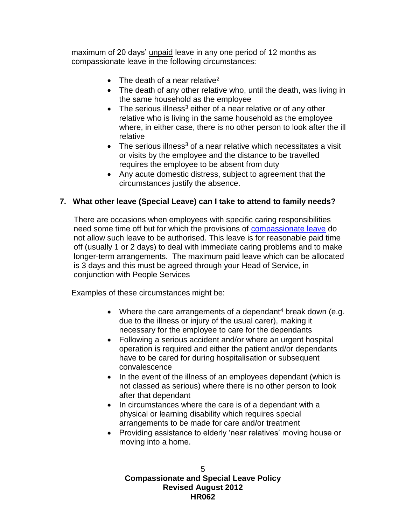maximum of 20 days' unpaid leave in any one period of 12 months as compassionate leave in the following circumstances:

- The death of a near relative<sup>2</sup>
- The death of any other relative who, until the death, was living in the same household as the employee
- $\bullet$  The serious illness<sup>3</sup> either of a near relative or of any other relative who is living in the same household as the employee where, in either case, there is no other person to look after the ill relative
- $\bullet$  The serious illness<sup>3</sup> of a near relative which necessitates a visit or visits by the employee and the distance to be travelled requires the employee to be absent from duty
- Any acute domestic distress, subject to agreement that the circumstances justify the absence.

#### <span id="page-4-0"></span>**7. What other leave (Special Leave) can I take to attend to family needs?**

There are occasions when employees with specific caring responsibilities need some time off but for which the provisions of compassionate leave do not allow such leave to be authorised. This leave is for reasonable paid time off (usually 1 or 2 days) to deal with immediate caring problems and to make longer-term arrangements. The maximum paid leave which can be allocated is 3 days and this must be agreed through your Head of Service, in conjunction with People Services

Examples of these circumstances might be:

- Where the care arrangements of a dependant<sup>4</sup> break down (e.g. due to the illness or injury of the usual carer), making it necessary for the employee to care for the dependants
- Following a serious accident and/or where an urgent hospital operation is required and either the patient and/or dependants have to be cared for during hospitalisation or subsequent convalescence
- In the event of the illness of an employees dependant (which is not classed as serious) where there is no other person to look after that dependant
- In circumstances where the care is of a dependant with a physical or learning disability which requires special arrangements to be made for care and/or treatment
- Providing assistance to elderly 'near relatives' moving house or moving into a home.

5 **Compassionate and Special Leave Policy Revised August 2012 HR062**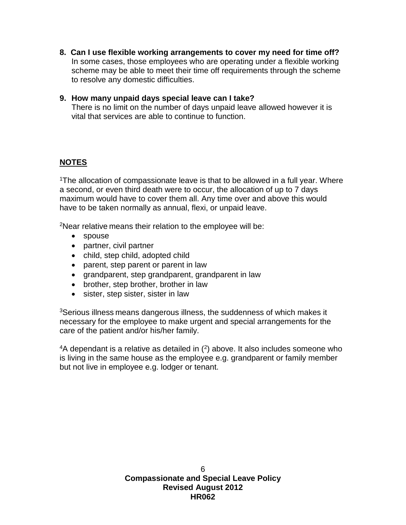- <span id="page-5-0"></span>**8. Can I use flexible working arrangements to cover my need for time off?** In some cases, those employees who are operating under a flexible working scheme may be able to meet their time off requirements through the scheme to resolve any domestic difficulties.
- <span id="page-5-1"></span>**9. How many unpaid days special leave can I take?** There is no limit on the number of days unpaid leave allowed however it is vital that services are able to continue to function.

## <span id="page-5-2"></span>**NOTES**

<sup>1</sup>The allocation of compassionate leave is that to be allowed in a full year. Where a second, or even third death were to occur, the allocation of up to 7 days maximum would have to cover them all. Any time over and above this would have to be taken normally as annual, flexi, or unpaid leave.

<sup>2</sup>Near relative means their relation to the employee will be:

- spouse
- partner, civil partner
- child, step child, adopted child
- parent, step parent or parent in law
- grandparent, step grandparent, grandparent in law
- brother, step brother, brother in law
- sister, step sister, sister in law

<sup>3</sup>Serious illness means dangerous illness, the suddenness of which makes it necessary for the employee to make urgent and special arrangements for the care of the patient and/or his/her family.

 $4A$  dependant is a relative as detailed in  $(2)$  above. It also includes someone who is living in the same house as the employee e.g. grandparent or family member but not live in employee e.g. lodger or tenant.